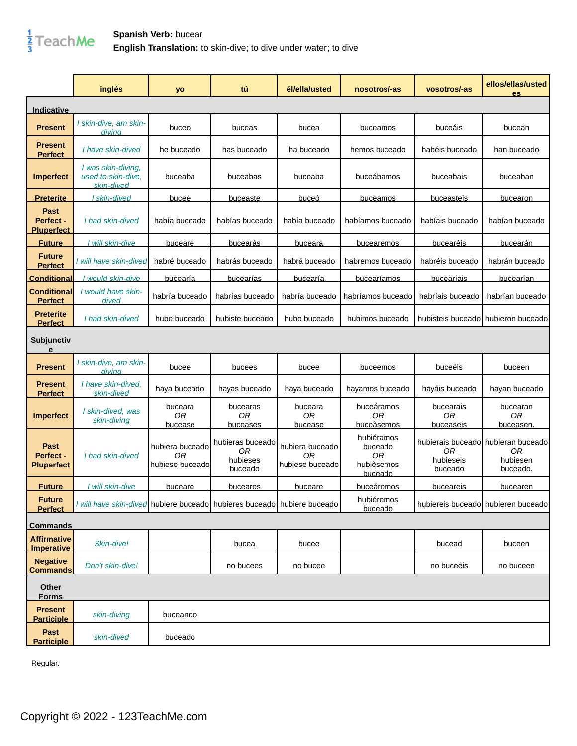

|                                               | inglés                                                                  | yo                                       | tú                                            | él/ella/usted                            | nosotros/-as                                         | vosotros/-as                 | ellos/ellas/usted<br>es                                           |
|-----------------------------------------------|-------------------------------------------------------------------------|------------------------------------------|-----------------------------------------------|------------------------------------------|------------------------------------------------------|------------------------------|-------------------------------------------------------------------|
| Indicative                                    |                                                                         |                                          |                                               |                                          |                                                      |                              |                                                                   |
| <b>Present</b>                                | I skin-dive, am skin-<br>divina                                         | buceo                                    | buceas                                        | bucea                                    | buceamos                                             | buceáis                      | bucean                                                            |
| <b>Present</b><br><b>Perfect</b>              | I have skin-dived                                                       | he buceado                               | has buceado                                   | ha buceado                               | hemos buceado                                        | habéis buceado               | han buceado                                                       |
| <b>Imperfect</b>                              | I was skin-diving,<br>used to skin-dive.<br>skin-dived                  | buceaba                                  | buceabas                                      | buceaba                                  | buceábamos                                           | buceabais                    | buceaban                                                          |
| <b>Preterite</b>                              | skin-dived                                                              | buceé                                    | buceaste                                      | buceó                                    | buceamos                                             | buceasteis                   | bucearon                                                          |
| Past<br>Perfect -<br><b>Pluperfect</b>        | I had skin-dived                                                        | había buceado                            | habías buceado                                | había buceado                            | habíamos buceado                                     | habíais buceado              | habían buceado                                                    |
| <b>Future</b>                                 | I will skin-dive                                                        | bucearé                                  | bucearás                                      | <b>buceará</b>                           | bucearemos                                           | bucearéis                    | bucearán                                                          |
| <b>Future</b><br><b>Perfect</b>               | I will have skin-dived                                                  | habré buceado                            | habrás buceado                                | habrá buceado                            | habremos buceado                                     | habréis buceado              | habrán buceado                                                    |
| <b>Conditional</b>                            | <u>l would skin-dive </u>                                               | bucearía                                 | bucearías                                     | bucearía                                 | bucearíamos                                          | bucearíais                   | bucearían                                                         |
| <b>Conditional</b><br><b>Perfect</b>          | I would have skin-<br>dived                                             | habría buceado                           | habrías buceado                               | habría buceado                           | habríamos buceado                                    | habríais buceado             | habrían buceado                                                   |
| <b>Preterite</b><br><b>Perfect</b>            | I had skin-dived                                                        | hube buceado                             | hubiste buceado                               | hubo buceado                             | hubimos buceado                                      | hubisteis buceado            | hubieron buceado                                                  |
| <b>Subjunctiv</b><br>e                        |                                                                         |                                          |                                               |                                          |                                                      |                              |                                                                   |
| <b>Present</b>                                | I skin-dive, am skin-<br>divina                                         | bucee                                    | bucees                                        | bucee                                    | buceemos                                             | buceéis                      | buceen                                                            |
| <b>Present</b><br><b>Perfect</b>              | I have skin-dived.<br>skin-dived                                        | haya buceado                             | hayas buceado                                 | haya buceado                             | hayamos buceado                                      | hayáis buceado               | hayan buceado                                                     |
| Imperfect                                     | I skin-dived, was<br>skin-diving                                        | buceara<br>0R<br>bucease                 | bucearas<br>0R<br>buceases                    | buceara<br>0R<br>bucease                 | buceáramos<br>0R<br>buceàsemos                       | bucearais<br>0R<br>buceaseis | bucearan<br>0R<br>buceasen                                        |
| <b>Past</b><br>Perfect -<br><b>Pluperfect</b> | I had skin-dived                                                        | hubiera buceado<br>0R<br>hubiese buceado | hubieras buceado<br>0R<br>hubieses<br>buceado | hubiera buceado<br>ОR<br>hubiese buceado | hubiéramos<br>buceado<br>0R<br>hubièsemos<br>buceado | 0R<br>hubieseis<br>buceado   | hubierais buceadol hubieran buceado<br>0R<br>hubiesen<br>buceado. |
| <b>Future</b>                                 | I will skin-dive                                                        | buceare                                  | <b>buceares</b>                               | buceare                                  | <u>buceáremos</u>                                    | <b>buceareis</b>             | bucearen                                                          |
| <b>Future</b><br><b>Perfect</b>               | I will have skin-dived hubiere buceado hubieres buceado hubiere buceado |                                          |                                               |                                          | hubiéremos<br>buceado                                |                              | hubiereis buceado hubieren buceado                                |
| <b>Commands</b>                               |                                                                         |                                          |                                               |                                          |                                                      |                              |                                                                   |
| <b>Affirmative</b><br><b>Imperative</b>       | Skin-dive!                                                              |                                          | bucea                                         | bucee                                    |                                                      | bucead                       | buceen                                                            |
| <b>Negative</b><br><b>Commands</b>            | Don't skin-dive!                                                        |                                          | no bucees                                     | no bucee                                 |                                                      | no buceéis                   | no buceen                                                         |
| Other<br><b>Forms</b>                         |                                                                         |                                          |                                               |                                          |                                                      |                              |                                                                   |
| <b>Present</b><br><b>Participle</b>           | skin-diving                                                             | buceando                                 |                                               |                                          |                                                      |                              |                                                                   |
| Past<br><b>Participle</b>                     | skin-dived                                                              | buceado                                  |                                               |                                          |                                                      |                              |                                                                   |

Regular.